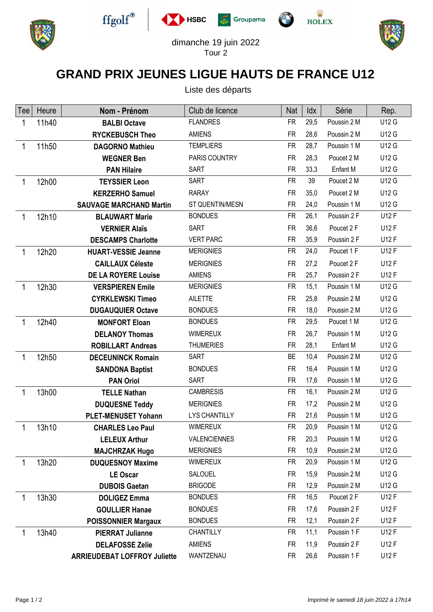











dimanche 19 juin 2022 Tour 2

 $\sqrt{2}$ 

## **GRAND PRIX JEUNES LIGUE HAUTS DE FRANCE U12**

Liste des départs

| Tee | Heure | Nom - Prénom                        | Club de licence     | Nat       | Idx  | Série       | Rep.         |
|-----|-------|-------------------------------------|---------------------|-----------|------|-------------|--------------|
| 1   | 11h40 | <b>BALBI Octave</b>                 | <b>FLANDRES</b>     | <b>FR</b> | 29,5 | Poussin 2 M | U12 G        |
|     |       | <b>RYCKEBUSCH Theo</b>              | <b>AMIENS</b>       | <b>FR</b> | 28,6 | Poussin 2 M | U12 G        |
| 1   | 11h50 | <b>DAGORNO Mathieu</b>              | <b>TEMPLIERS</b>    | <b>FR</b> | 28,7 | Poussin 1 M | U12 G        |
|     |       | <b>WEGNER Ben</b>                   | PARIS COUNTRY       | <b>FR</b> | 28,3 | Poucet 2 M  | U12 G        |
|     |       | <b>PAN Hilaire</b>                  | <b>SART</b>         | <b>FR</b> | 33,3 | Enfant M    | U12 G        |
| 1   | 12h00 | <b>TEYSSIER Leon</b>                | SART                | <b>FR</b> | 39   | Poucet 2 M  | U12 G        |
|     |       | <b>KERZERHO Samuel</b>              | <b>RARAY</b>        | <b>FR</b> | 35,0 | Poucet 2 M  | U12 G        |
|     |       | <b>SAUVAGE MARCHAND Martin</b>      | ST QUENTIN/MESN     | <b>FR</b> | 24,0 | Poussin 1 M | U12 G        |
| 1   | 12h10 | <b>BLAUWART Marie</b>               | <b>BONDUES</b>      | <b>FR</b> | 26,1 | Poussin 2 F | U12 F        |
|     |       | <b>VERNIER Alaïs</b>                | <b>SART</b>         | <b>FR</b> | 36,6 | Poucet 2 F  | U12 F        |
|     |       | <b>DESCAMPS Charlotte</b>           | <b>VERT PARC</b>    | <b>FR</b> | 35,9 | Poussin 2 F | U12 F        |
| 1   | 12h20 | <b>HUART-VESSIE Jeanne</b>          | <b>MERIGNIES</b>    | <b>FR</b> | 24,0 | Poucet 1 F  | U12 F        |
|     |       | <b>CAILLAUX Céleste</b>             | <b>MERIGNIES</b>    | <b>FR</b> | 27,2 | Poucet 2 F  | U12 F        |
|     |       | <b>DE LA ROYERE Louise</b>          | <b>AMIENS</b>       | <b>FR</b> | 25,7 | Poussin 2 F | U12 F        |
| 1   | 12h30 | <b>VERSPIEREN Emile</b>             | <b>MERIGNIES</b>    | <b>FR</b> | 15,1 | Poussin 1 M | U12 G        |
|     |       | <b>CYRKLEWSKI Timeo</b>             | <b>AILETTE</b>      | <b>FR</b> | 25,8 | Poussin 2 M | <b>U12 G</b> |
|     |       | <b>DUGAUQUIER Octave</b>            | <b>BONDUES</b>      | <b>FR</b> | 18,0 | Poussin 2 M | U12 G        |
| 1   | 12h40 | <b>MONFORT Eloan</b>                | <b>BONDUES</b>      | <b>FR</b> | 29,5 | Poucet 1 M  | U12 G        |
|     |       | <b>DELANOY Thomas</b>               | <b>WIMEREUX</b>     | <b>FR</b> | 26,7 | Poussin 1 M | U12 G        |
|     |       | <b>ROBILLART Andreas</b>            | <b>THUMERIES</b>    | <b>FR</b> | 28,1 | Enfant M    | U12 G        |
| 1   | 12h50 | <b>DECEUNINCK Romain</b>            | <b>SART</b>         | <b>BE</b> | 10,4 | Poussin 2 M | U12 G        |
|     |       | <b>SANDONA Baptist</b>              | <b>BONDUES</b>      | <b>FR</b> | 16,4 | Poussin 1 M | U12 G        |
|     |       | <b>PAN Oriol</b>                    | <b>SART</b>         | <b>FR</b> | 17,6 | Poussin 1 M | U12 G        |
| 1   | 13h00 | <b>TELLE Nathan</b>                 | <b>CAMBRESIS</b>    | <b>FR</b> | 16,1 | Poussin 2 M | U12 G        |
|     |       | <b>DUQUESNE Teddy</b>               | <b>MERIGNIES</b>    | <b>FR</b> | 17,2 | Poussin 2 M | <b>U12 G</b> |
|     |       | <b>PLET-MENUSET Yohann</b>          | LYS CHANTILLY       | <b>FR</b> | 21,6 | Poussin 1 M | U12 G        |
| 1   | 13h10 | <b>CHARLES Leo Paul</b>             | <b>WIMEREUX</b>     | <b>FR</b> | 20,9 | Poussin 1 M | <b>U12 G</b> |
|     |       | <b>LELEUX Arthur</b>                | <b>VALENCIENNES</b> | <b>FR</b> | 20,3 | Poussin 1 M | U12 G        |
|     |       | <b>MAJCHRZAK Hugo</b>               | <b>MERIGNIES</b>    | <b>FR</b> | 10,9 | Poussin 2 M | U12 G        |
| 1   | 13h20 | <b>DUQUESNOY Maxime</b>             | <b>WIMEREUX</b>     | <b>FR</b> | 20,9 | Poussin 1 M | U12 G        |
|     |       | <b>LE Oscar</b>                     | SALOUEL             | <b>FR</b> | 15,9 | Poussin 2 M | <b>U12 G</b> |
|     |       | <b>DUBOIS Gaetan</b>                | <b>BRIGODE</b>      | <b>FR</b> | 12,9 | Poussin 2 M | U12 G        |
| 1   | 13h30 | <b>DOLIGEZ Emma</b>                 | <b>BONDUES</b>      | <b>FR</b> | 16,5 | Poucet 2 F  | U12 F        |
|     |       | <b>GOULLIER Hanae</b>               | <b>BONDUES</b>      | <b>FR</b> | 17,6 | Poussin 2 F | U12 F        |
|     |       | <b>POISSONNIER Margaux</b>          | <b>BONDUES</b>      | <b>FR</b> | 12,1 | Poussin 2 F | U12 F        |
| 1   | 13h40 | <b>PIERRAT Julianne</b>             | CHANTILLY           | <b>FR</b> | 11,1 | Poussin 1 F | U12 F        |
|     |       | <b>DELAFOSSE Zelie</b>              | <b>AMIENS</b>       | <b>FR</b> | 11,9 | Poussin 2 F | U12 F        |
|     |       | <b>ARRIEUDEBAT LOFFROY Juliette</b> | WANTZENAU           | FR        | 26,6 | Poussin 1 F | U12 F        |